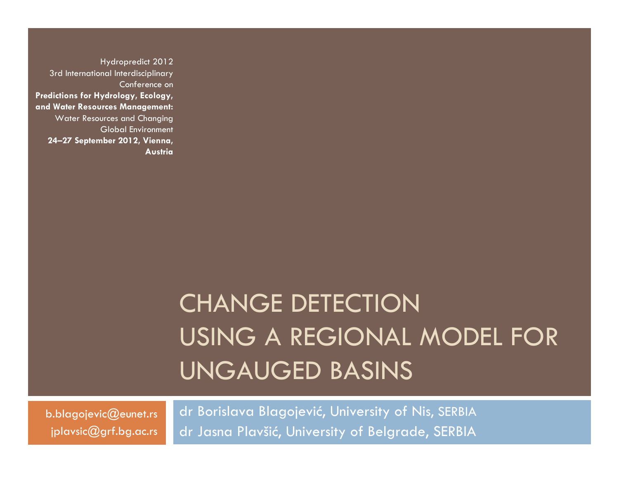Hydropredict 2012 3rd International Interdisciplinary Conference on **Predictions for Hydrology, Ecology, and Water Resources Management:**  Water Resources and Changing Global Environment **24–27 September 2012, Vienna, Austria**

## CHANGE DETECTION USING A REGIONAL MODEL FOR UNGAUGED BASINS

b.blagojevic@eunet.rs jplavsic@grf.bg.ac.rs

dr Borislava Blagojevi ć, University of Nis, SERBIA dr Jasna Plavši ć, University of Belgrade, SERBIA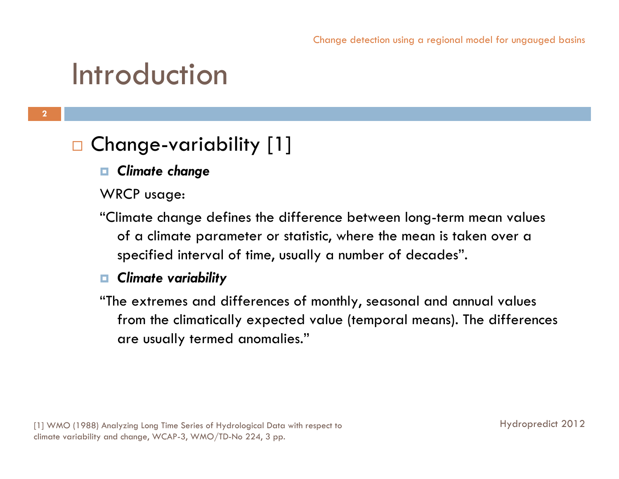### Introduction

#### $\Box$ Change-variability [1]

#### *Climate change*

- WRCP usage:
- "Climate change defines the difference between long-term mean values of a climate parameter or statistic, where the mean is taken over a specified interval of time, usually a number of decades".

#### *Climate variability*

"The extremes and differences of monthly, seasonal and annual values from the climatically expected value (temporal means). The differences are usually termed anomalies."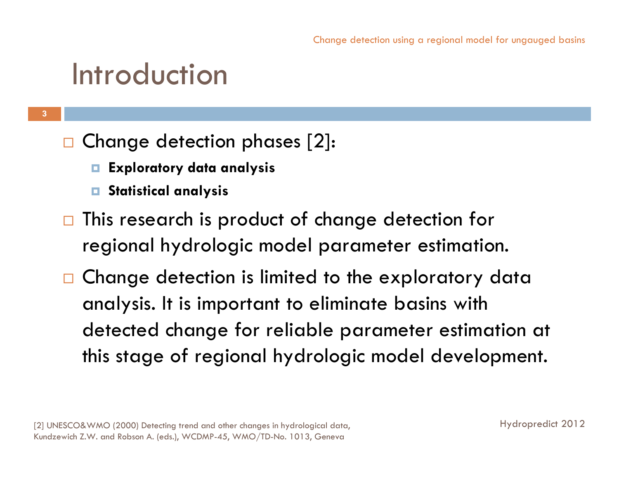### Introduction

- $\Box$  Change detection phases [2]:
	- $\Box$ **Exploratory data analysis**
	- **Statistical analysis**
- $\Box$  This research is product of change detection for regional hydrologic model parameter estimation.
- $\Box$  Change detection is limited to the exploratory data analysis. It is important to eliminate basins with detected change for reliable parameter estimation at this stage of regional hydrologic model development.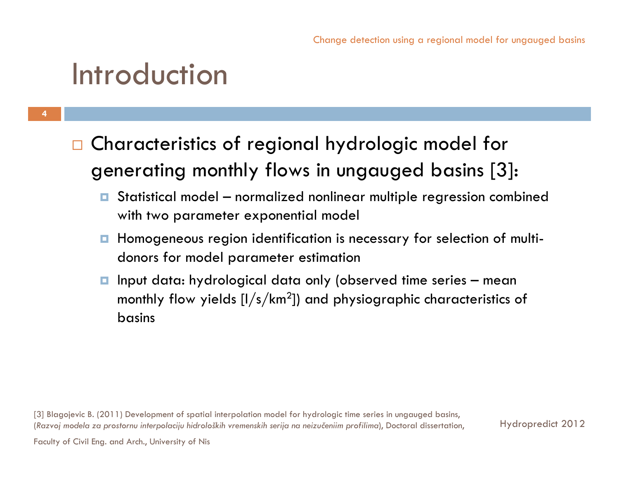### Introduction

**4**

- $\Box$  Characteristics of regional hydrologic model for generating monthly flows in ungauged basins [3]:
	- $\Box$  Statistical model – normalized nonlinear multiple regression combined with two parameter exponential model
	- $\Box$  Homogeneous region identification is necessary for selection of multidonors for model parameter estimation
	- $\Box$  Input data: hydrological data only (observed time series – mean monthly flow yields  $[I/s/km<sup>2</sup>]$  and physiographic characteristics of basins

[3] Blagojevic B. (2011) Development of spatial interpolation model for hydrologic time series in ungauged basins, (*Razvoj modela za prostornu interpolaciju hidroloških vremenskih serija na neizučeniim profilima*), Doctoral dissertation,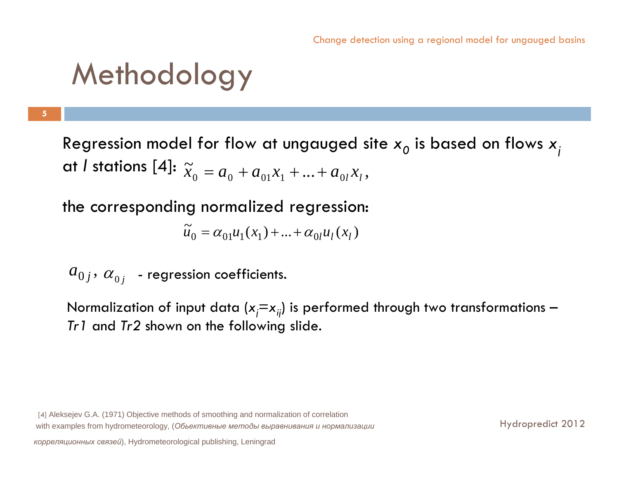**5**

 $\cdots$  ,  $\cdots$  ,  $\cdots$  ,  $\cdots$  $\widetilde{x}_0 = a_0 + a_{01}x_1 + ... + a_{0l}x_l$ Regression model for flow at ungauged site *x0* is based on flows *xj* at *l* stations [4]:

the corresponding normalized regression:

$$
\tilde{u}_0 = \alpha_{01} u_1(x_1) + \ldots + \alpha_{0l} u_l(x_l)
$$

 $a_{0j},\,\alpha_{0j}^{\phantom{\dag}}$  - regression coefficients.

Normalization of input data ( $x_i = x_{ii}$ ) is performed through two transformations – *Tr1* and *Tr2* shown on the following slide.

[4] Aleksejev G.A. (1971) Objective methods of smoothing and normalization of correlation with examples from hydrometeorology, (*Oбьективные методы выравнивания <sup>и</sup> нормализации*

*корреляционных связей*), Hydrometeorological publishing, Leningrad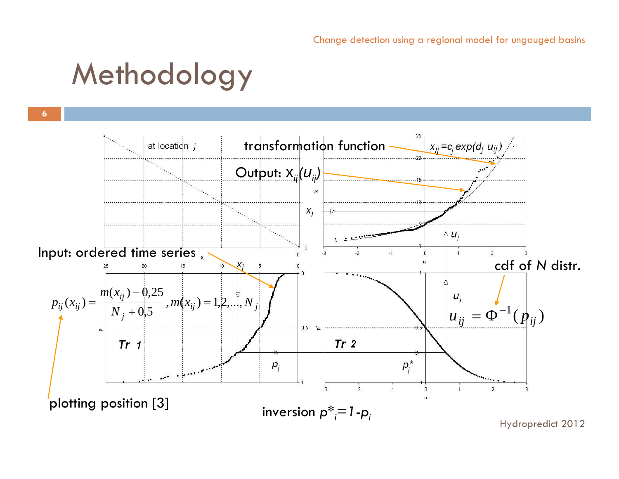**6**

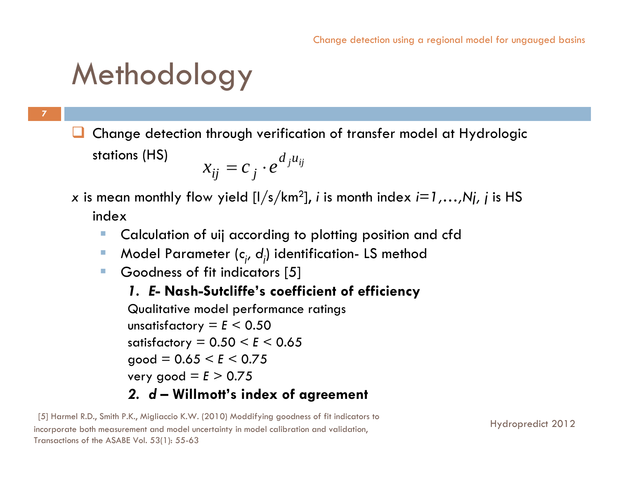**7**

 $\Box$  Change detection through verification of transfer model at Hydrologic stations (HS)  $d_j u_{ij}$  $x_{ij} = c_j \cdot e_j$ 

#### *x* is mean monthly flow yield [l/s/km2], *<sup>i</sup>* is month index *i=1,…,Nj, j* is HS index

- $\mathcal{L}_{\mathcal{A}}$ Calculation of uij according to plotting position and cfd
- $\overline{\phantom{a}}$ Model Parameter (c<sub>i</sub>, d<sub>i</sub>) identification- LS method
- $\mathcal{L}_{\mathcal{A}}$ Goodness of fit indicators [5]

#### *1. E***- Nash-Sutcliffe's coefficient of efficiency**

Qualitative model performance ratings unsatisfactory  $=$   $E$   $<$  0.50 satisfactory = 0.50 < *E* < 0.65  $q = 0.65 \leq F \leq 0.75$ very good  $=$   $E > 0.75$ *2. d* **– Willmott's index of agreement**

[5] Harmel R.D., Smith P.K., Migliaccio K.W. (2010) Moddifying goodness of fit indicators to incorporate both measurement and model uncertainty in model calibration and validation, Transactions of the ASABE Vol. 53(1): 55-63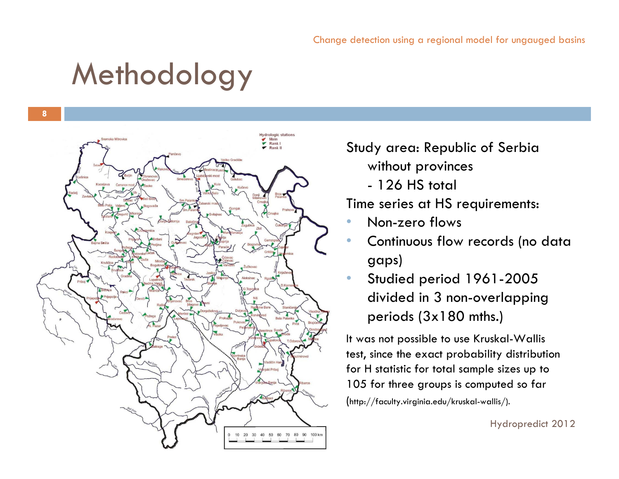**8**



#### Study area: Republic of Serbia without provinces

- 126 HS total

Time series at HS requirements:

- •Non-zero flows
- • Continuous flow records (no data gaps)
- • Studied period 1961-2005 divided in 3 non-overlapping periods (3x180 mths.)

It was not possible to use Kruskal-Wallis test, since the exact probability distribution for H statistic for total sample sizes up to 105 for three groups is computed so far (http://faculty.virginia.edu/kruskal-wallis/).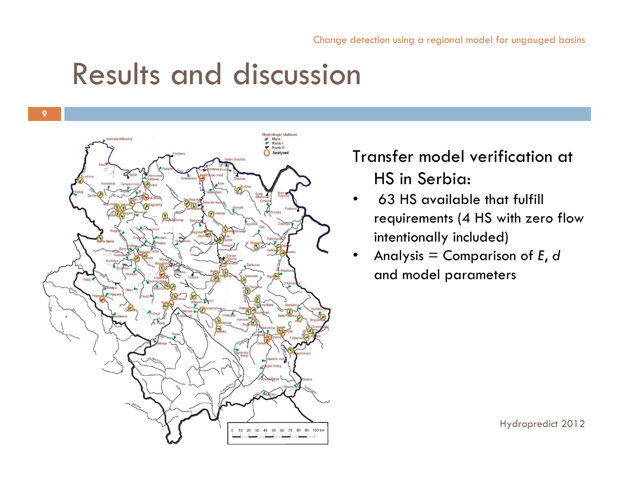

### Transfer model verification at HS in Serbia:

- • 63 HS available that fulfill requirements (4 HS with zero flow intentionally included)
- • Analysis = Comparison of *E*, *d* and model parameters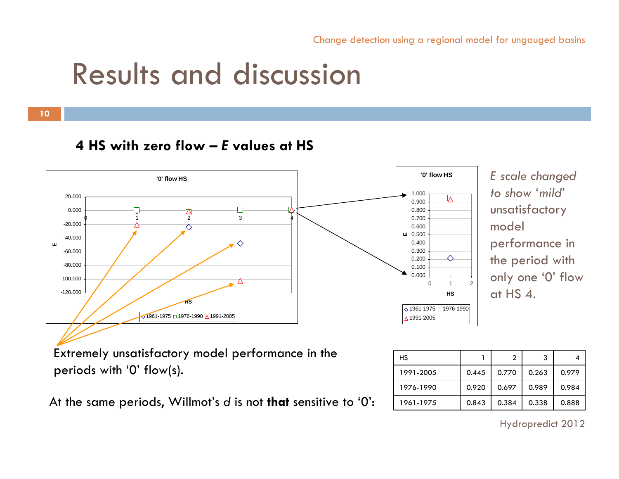**10**

#### **4 HS with zero flow –***E* **values at HS**



*E scale changed to show 'mild'*unsatisfactory model performance in the period with only one '0' flow at HS 4.

Extremely unsatisfactory model performance in the periods with '0' flow(s).

At the same periods, Willmot's *d* is not **that** sensitive to '0': 1961-1975 0.843 0.384 0.338 0.888

| НS        |       |       | 3     |       |
|-----------|-------|-------|-------|-------|
| 1991-2005 | 0.445 | 0.770 | 0.263 | 0.979 |
| 1976-1990 | 0.920 | 0.697 | 0.989 | 0.984 |
| 1961-1975 | 0.843 | 0.384 | 0.338 | 0.888 |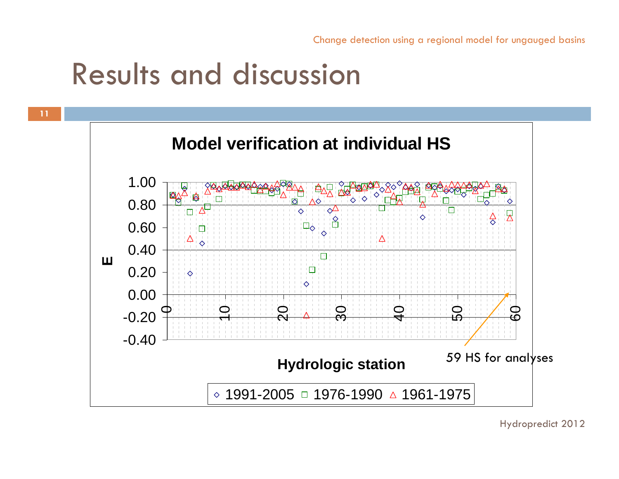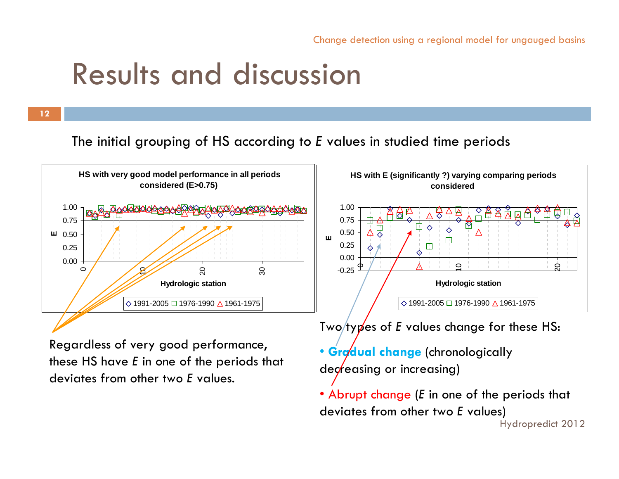The initial grouping of HS according to *E* values in studied time periods



Regardless of very good performance, these HS have *E* in one of the periods that deviates from other two *E* values.

Two/ty**p**'es of E values change for these HS:

- **Gradual change** (chronologically  $deg$  *dec*/easing or increasing)
- Abrupt change (*E* in one of the periods that deviates from other two *E* values)

```
Hydropredict 2012
```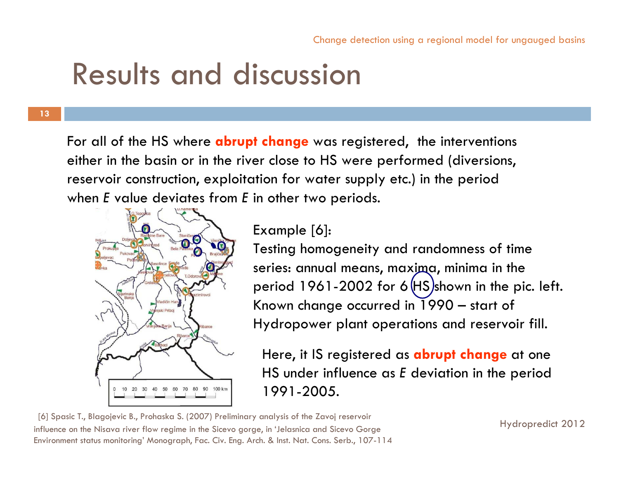**13**

For all of the HS where **abrupt change** was registered, the interventions either in the basin or in the river close to HS were performed (diversions, reservoir construction, exploitation for water supply etc.) in the period when *E* value deviates from *E* in other two periods.



Example [6]:

Testing homogeneity and randomness of time series: annual means, maxima, minima in the period 1961-2002 for  $6$  (HS)shown in the pic. left. Known change occurred in 1990 – start of Hydropower plant operations and reservoir fill.

Here, it IS registered as **abrupt change** at one HS under influence as *E* deviation in the period 1991-2005.

[6] Spasic T., Blagojevic B., Prohaska S. (2007) Preliminary analysis of the Zavoj reservoir influence on the Nisava river flow regime in the Sicevo gorge, in 'Jelasnica and Sicevo Gorge Environment status monitoring' Monograph, Fac. Civ. Eng. Arch. & Inst. Nat. Cons. Serb., 107-114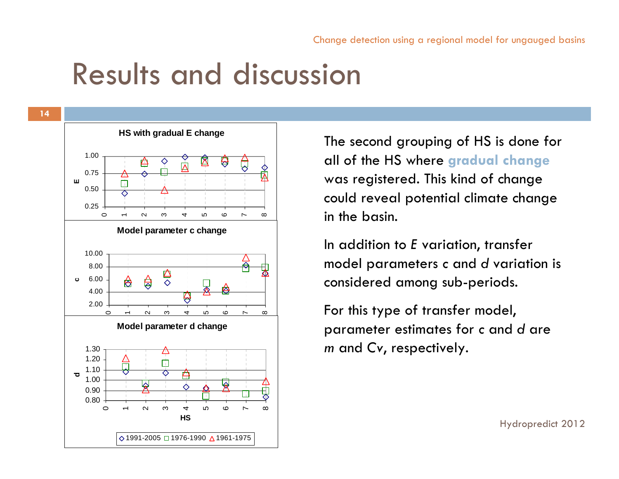

The second grouping of HS is done for all of the HS where **gradual change** was registered. This kind of change could reveal potential climate change in the basin.

In addition to *E* variation, transfer model parameters *c* and *d* variation is considered among sub-periods.

For this type of transfer model, parameter estimates for *c* and *d* are *m* and *Cv*, respectively.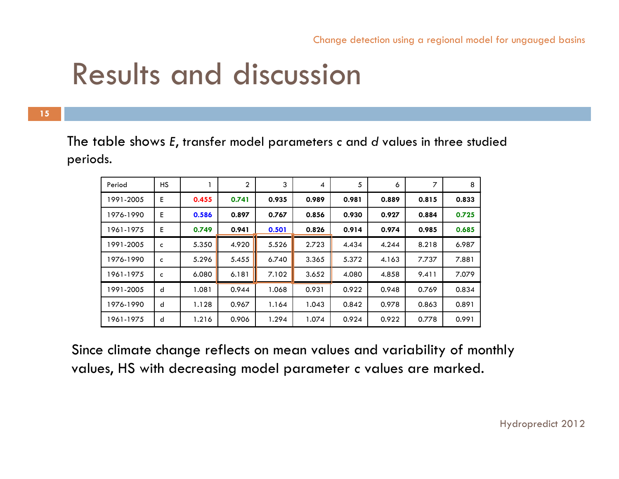**15**

The table shows *E*, transfer model parameters *c* and *d* values in three studied periods.

| Period    | HS.          |       | 2     | 3     | 4     | 5     | 6     | 7     | 8     |
|-----------|--------------|-------|-------|-------|-------|-------|-------|-------|-------|
| 1991-2005 | E.           | 0.455 | 0.741 | 0.935 | 0.989 | 0.981 | 0.889 | 0.815 | 0.833 |
| 1976-1990 | E            | 0.586 | 0.897 | 0.767 | 0.856 | 0.930 | 0.927 | 0.884 | 0.725 |
| 1961-1975 | E            | 0.749 | 0.941 | 0.501 | 0.826 | 0.914 | 0.974 | 0.985 | 0.685 |
| 1991-2005 | $\mathsf{c}$ | 5.350 | 4.920 | 5.526 | 2.723 | 4.434 | 4.244 | 8.218 | 6.987 |
| 1976-1990 | c            | 5.296 | 5.455 | 6.740 | 3.365 | 5.372 | 4.163 | 7.737 | 7.881 |
| 1961-1975 | $\mathsf{C}$ | 6.080 | 6.181 | 7.102 | 3.652 | 4.080 | 4.858 | 9.411 | 7.079 |
| 1991-2005 | d            | 1.081 | 0.944 | 1.068 | 0.931 | 0.922 | 0.948 | 0.769 | 0.834 |
| 1976-1990 | d            | 1.128 | 0.967 | 1.164 | 1.043 | 0.842 | 0.978 | 0.863 | 0.891 |
| 1961-1975 | d            | 1.216 | 0.906 | 1.294 | 1.074 | 0.924 | 0.922 | 0.778 | 0.991 |

Since climate change reflects on mean values and variability of monthly values, HS with decreasing model parameter *c* values are marked.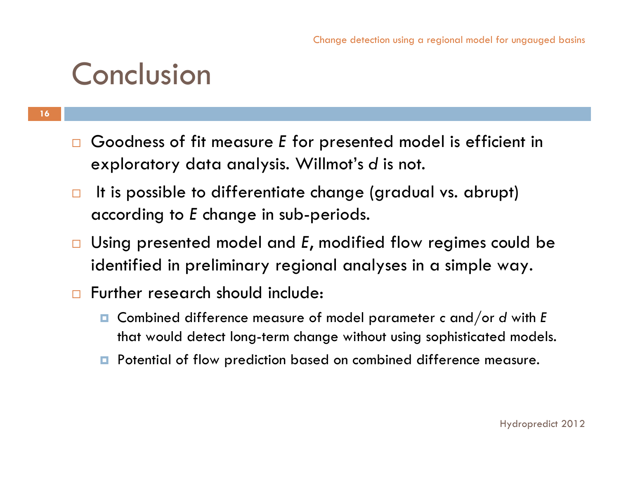### Conclusion

- $\Box$  Goodness of fit measure *E* for presented model is efficient in exploratory data analysis. Willmot's *d* is not.
- $\Box$  It is possible to differentiate change (gradual vs. abrupt) according to *E* change in sub-periods.
- $\Box$  Using presented model and *E*, modified flow regimes could be identified in preliminary regional analyses in a simple way.
- $\Box$  Further research should include:
	- $\Box$  Combined difference measure of model parameter *<sup>c</sup>* and/or *<sup>d</sup>* with *<sup>E</sup>* that would detect long-term change without using sophisticated models.
	- **P** Potential of flow prediction based on combined difference measure.